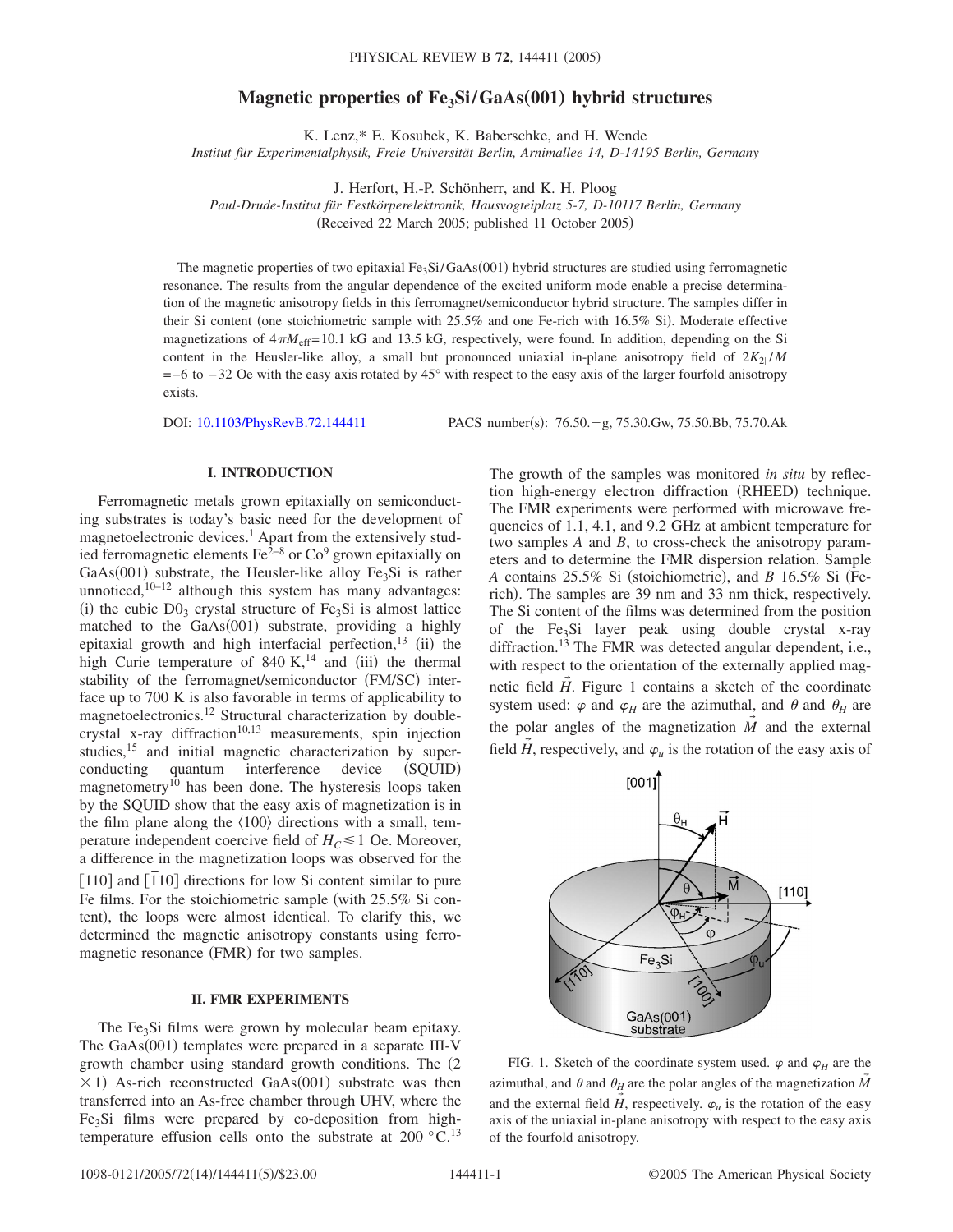# **Magnetic properties of Fe<sub>3</sub>Si/GaAs(001) hybrid structures**

K. Lenz,\* E. Kosubek, K. Baberschke, and H. Wende

*Institut für Experimentalphysik, Freie Universität Berlin, Arnimallee 14, D-14195 Berlin, Germany*

J. Herfort, H.-P. Schönherr, and K. H. Ploog

*Paul-Drude-Institut für Festkörperelektronik, Hausvogteiplatz 5-7, D-10117 Berlin, Germany*

(Received 22 March 2005; published 11 October 2005)

The magnetic properties of two epitaxial Fe<sub>3</sub>Si/GaAs(001) hybrid structures are studied using ferromagnetic resonance. The results from the angular dependence of the excited uniform mode enable a precise determination of the magnetic anisotropy fields in this ferromagnet/semiconductor hybrid structure. The samples differ in their Si content (one stoichiometric sample with 25.5% and one Fe-rich with 16.5% Si). Moderate effective magnetizations of  $4\pi M_{\text{eff}}$ =10.1 kG and 13.5 kG, respectively, were found. In addition, depending on the Si content in the Heusler-like alloy, a small but pronounced uniaxial in-plane anisotropy field of  $2K_{2\parallel}/M$ =−6 to −32 Oe with the easy axis rotated by 45° with respect to the easy axis of the larger fourfold anisotropy exists.

DOI: [10.1103/PhysRevB.72.144411](http://dx.doi.org/10.1103/PhysRevB.72.144411)

:  $76.50.+g$ ,  $75.30.Gw$ ,  $75.50.Bb$ ,  $75.70.Ak$ 

### **I. INTRODUCTION**

Ferromagnetic metals grown epitaxially on semiconducting substrates is today's basic need for the development of magnetoelectronic devices.<sup>1</sup> Apart from the extensively studied ferromagnetic elements  $\text{Fe}^{\frac{2}{3}-8}$  or  $\text{Co}^9$  grown epitaxially on GaAs(001) substrate, the Heusler-like alloy  $Fe<sub>3</sub>Si$  is rather unnoticed, $10-12$  although this system has many advantages: (i) the cubic  $D0_3$  crystal structure of Fe<sub>3</sub>Si is almost lattice matched to the GaAs(001) substrate, providing a highly epitaxial growth and high interfacial perfection,<sup>13</sup> (ii) the high Curie temperature of 840 K,<sup>14</sup> and (iii) the thermal stability of the ferromagnet/semiconductor (FM/SC) interface up to 700 K is also favorable in terms of applicability to magnetoelectronics.<sup>12</sup> Structural characterization by doublecrystal x-ray diffraction<sup>10,13</sup> measurements, spin injection studies,<sup>15</sup> and initial magnetic characterization by superconducting quantum interference device (SQUID) magnetometry<sup>10</sup> has been done. The hysteresis loops taken by the SQUID show that the easy axis of magnetization is in the film plane along the  $\langle 100 \rangle$  directions with a small, temperature independent coercive field of  $H_C \le 1$  Oe. Moreover, a difference in the magnetization loops was observed for the  $\frac{110}{10}$  and  $\frac{1}{10}$  directions for low Si content similar to pure Fe films. For the stoichiometric sample (with 25.5% Si content), the loops were almost identical. To clarify this, we determined the magnetic anisotropy constants using ferromagnetic resonance (FMR) for two samples.

#### **II. FMR EXPERIMENTS**

The Fe<sub>3</sub>Si films were grown by molecular beam epitaxy. The GaAs(001) templates were prepared in a separate III-V growth chamber using standard growth conditions. The  $(2)$  $\times$ 1) As-rich reconstructed GaAs(001) substrate was then transferred into an As-free chamber through UHV, where the  $Fe<sub>3</sub>Si$  films were prepared by co-deposition from hightemperature effusion cells onto the substrate at  $200\degree\text{C}^{13}$ 

The growth of the samples was monitored *in situ* by reflection high-energy electron diffraction (RHEED) technique. The FMR experiments were performed with microwave frequencies of 1.1, 4.1, and 9.2 GHz at ambient temperature for two samples *A* and *B*, to cross-check the anisotropy parameters and to determine the FMR dispersion relation. Sample *A* contains 25.5% Si (stoichiometric), and *B* 16.5% Si (Ferich). The samples are 39 nm and 33 nm thick, respectively. The Si content of the films was determined from the position of the  $Fe<sub>3</sub>Si$  layer peak using double crystal x-ray diffraction.<sup>13</sup> The FMR was detected angular dependent, i.e., with respect to the orientation of the externally applied magnetic field  $H$ . Figure 1 contains a sketch of the coordinate system used:  $\varphi$  and  $\varphi$ <sub>H</sub> are the azimuthal, and  $\theta$  and  $\theta$ <sub>H</sub> are the polar angles of the magnetization  $\overline{M}$  and the external field *H*, respectively, and  $\varphi_u$  is the rotation of the easy axis of



FIG. 1. Sketch of the coordinate system used.  $\varphi$  and  $\varphi$ <sub>H</sub> are the azimuthal, and  $\theta$  and  $\theta$ <sup>H</sup> are the polar angles of the magnetization  $\overline{M}$ and the external field  $\vec{H}$ , respectively.  $\varphi_u$  is the rotation of the easy axis of the uniaxial in-plane anisotropy with respect to the easy axis of the fourfold anisotropy.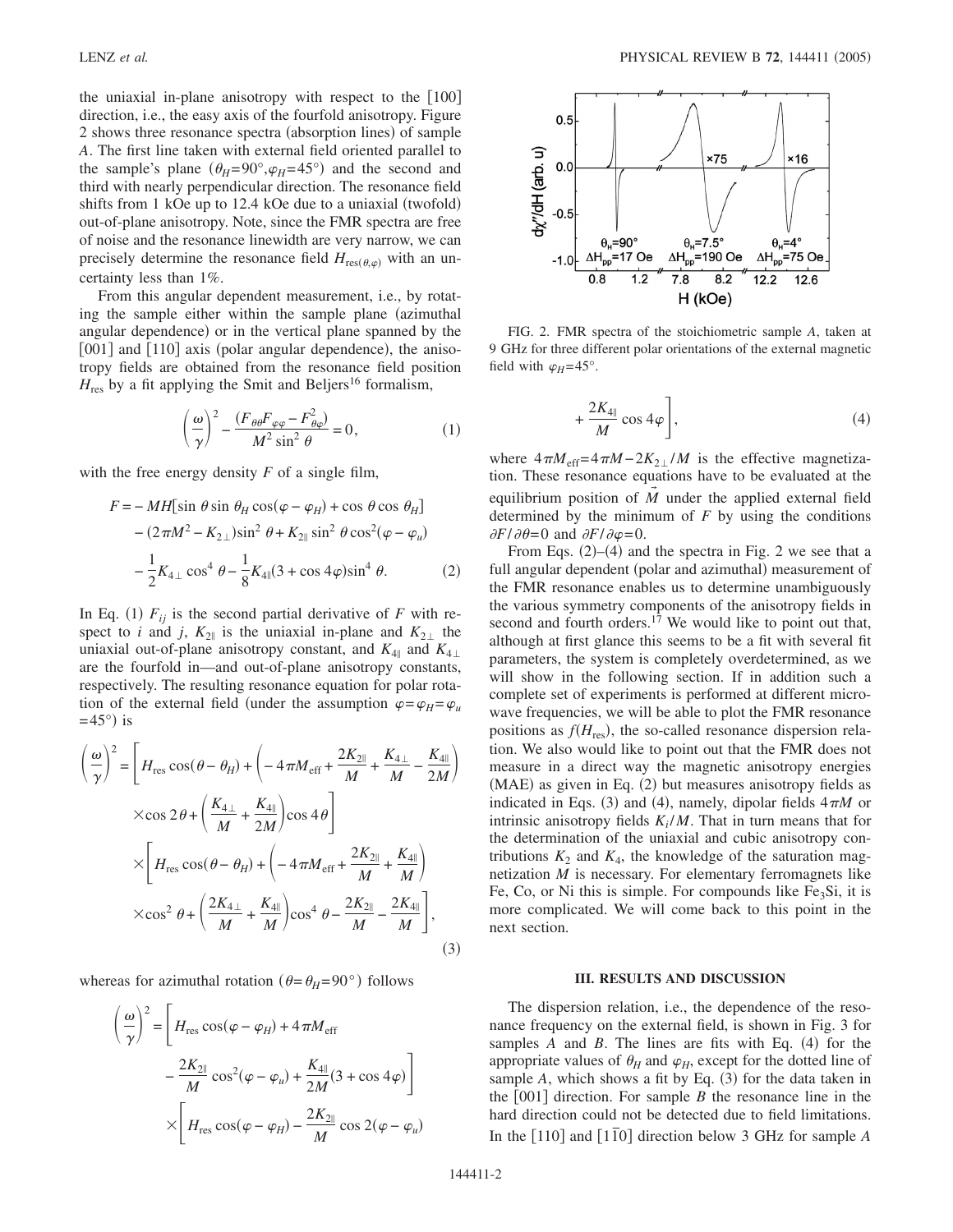the uniaxial in-plane anisotropy with respect to the  $|100|$ direction, i.e., the easy axis of the fourfold anisotropy. Figure 2 shows three resonance spectra (absorption lines) of sample *A*. The first line taken with external field oriented parallel to the sample's plane  $(\theta_H = 90^\circ, \varphi_H = 45^\circ)$  and the second and third with nearly perpendicular direction. The resonance field shifts from 1 kOe up to 12.4 kOe due to a uniaxial (twofold) out-of-plane anisotropy. Note, since the FMR spectra are free of noise and the resonance linewidth are very narrow, we can precisely determine the resonance field  $H_{res(\theta,\varphi)}$  with an uncertainty less than 1%.

From this angular dependent measurement, i.e., by rotating the sample either within the sample plane (azimuthal angular dependence) or in the vertical plane spanned by the [001] and [110] axis (polar angular dependence), the anisotropy fields are obtained from the resonance field position  $H_{\text{res}}$  by a fit applying the Smit and Beljers<sup>16</sup> formalism,

$$
\left(\frac{\omega}{\gamma}\right)^2 - \frac{(F_{\theta\theta}F_{\varphi\varphi} - F_{\theta\varphi}^2)}{M^2 \sin^2 \theta} = 0,
$$
\n(1)

with the free energy density *F* of a single film,

$$
F = -MH[\sin \theta \sin \theta_H \cos(\varphi - \varphi_H) + \cos \theta \cos \theta_H]
$$
  
 
$$
- (2\pi M^2 - K_{2\perp}) \sin^2 \theta + K_{2\parallel} \sin^2 \theta \cos^2(\varphi - \varphi_u)
$$
  
 
$$
- \frac{1}{2} K_{4\perp} \cos^4 \theta - \frac{1}{8} K_{4\parallel} (3 + \cos 4\varphi) \sin^4 \theta.
$$
 (2)

In Eq. (1)  $F_{ij}$  is the second partial derivative of *F* with respect to *i* and *j*,  $K_{2\parallel}$  is the uniaxial in-plane and  $K_{2\perp}$  the uniaxial out-of-plane anisotropy constant, and  $K_{4\parallel}$  and  $K_{4\perp}$ are the fourfold in—and out-of-plane anisotropy constants, respectively. The resulting resonance equation for polar rotation of the external field (under the assumption  $\varphi = \varphi_H = \varphi_u$  $=45^{\circ}$ ) is

$$
\left(\frac{\omega}{\gamma}\right)^2 = \left[H_{\text{res}}\cos(\theta - \theta_H) + \left(-4\pi M_{\text{eff}} + \frac{2K_{2\parallel}}{M} + \frac{K_{4\perp}}{M} - \frac{K_{4\parallel}}{2M}\right)\right]
$$

$$
\times \cos 2\theta + \left(\frac{K_{4\perp}}{M} + \frac{K_{4\parallel}}{2M}\right)\cos 4\theta\right]
$$

$$
\times \left[H_{\text{res}}\cos(\theta - \theta_H) + \left(-4\pi M_{\text{eff}} + \frac{2K_{2\parallel}}{M} + \frac{K_{4\parallel}}{M}\right)\right]
$$

$$
\times \cos^2 \theta + \left(\frac{2K_{4\perp}}{M} + \frac{K_{4\parallel}}{M}\right)\cos^4 \theta - \frac{2K_{2\parallel}}{M} - \frac{2K_{4\parallel}}{M}\right],
$$
(3)

whereas for azimuthal rotation ( $\theta = \theta_H = 90^\circ$ ) follows

$$
\left(\frac{\omega}{\gamma}\right)^2 = \left[H_{\text{res}}\cos(\varphi - \varphi_H) + 4\pi M_{\text{eff}}\right]
$$

$$
-\frac{2K_{2\parallel}}{M}\cos^2(\varphi - \varphi_u) + \frac{K_{4\parallel}}{2M}(3 + \cos 4\varphi)\right]
$$

$$
\times \left[H_{\text{res}}\cos(\varphi - \varphi_H) - \frac{2K_{2\parallel}}{M}\cos 2(\varphi - \varphi_u)\right]
$$



FIG. 2. FMR spectra of the stoichiometric sample *A*, taken at 9 GHz for three different polar orientations of the external magnetic field with  $\varphi_H$ =45°.

$$
+\frac{2K_{4\parallel}}{M}\cos 4\varphi\bigg],\tag{4}
$$

where  $4\pi M_{\text{eff}} = 4\pi M - 2K_{2\perp}/M$  is the effective magnetization. These resonance equations have to be evaluated at the equilibrium position of *M* under the applied external field determined by the minimum of *F* by using the conditions  $\partial F/\partial \theta = 0$  and  $\partial F/\partial \varphi = 0$ .

From Eqs.  $(2)$ – $(4)$  and the spectra in Fig. 2 we see that a full angular dependent (polar and azimuthal) measurement of the FMR resonance enables us to determine unambiguously the various symmetry components of the anisotropy fields in second and fourth orders.<sup>17</sup> We would like to point out that, although at first glance this seems to be a fit with several fit parameters, the system is completely overdetermined, as we will show in the following section. If in addition such a complete set of experiments is performed at different microwave frequencies, we will be able to plot the FMR resonance positions as  $f(H_{\text{res}})$ , the so-called resonance dispersion relation. We also would like to point out that the FMR does not measure in a direct way the magnetic anisotropy energies (MAE) as given in Eq. (2) but measures anisotropy fields as indicated in Eqs. (3) and (4), namely, dipolar fields  $4\pi M$  or intrinsic anisotropy fields  $K_i/M$ . That in turn means that for the determination of the uniaxial and cubic anisotropy contributions  $K_2$  and  $K_4$ , the knowledge of the saturation magnetization *M* is necessary. For elementary ferromagnets like Fe, Co, or Ni this is simple. For compounds like  $Fe<sub>3</sub>Si$ , it is more complicated. We will come back to this point in the next section.

#### **III. RESULTS AND DISCUSSION**

The dispersion relation, i.e., the dependence of the resonance frequency on the external field, is shown in Fig. 3 for samples  $A$  and  $B$ . The lines are fits with Eq.  $(4)$  for the appropriate values of  $\theta_H$  and  $\varphi_H$ , except for the dotted line of sample  $A$ , which shows a fit by Eq.  $(3)$  for the data taken in the  $[001]$  direction. For sample *B* the resonance line in the hard direction could not be detected due to field limitations. In the  $\lceil 110 \rceil$  and  $\lceil 110 \rceil$  direction below 3 GHz for sample *A*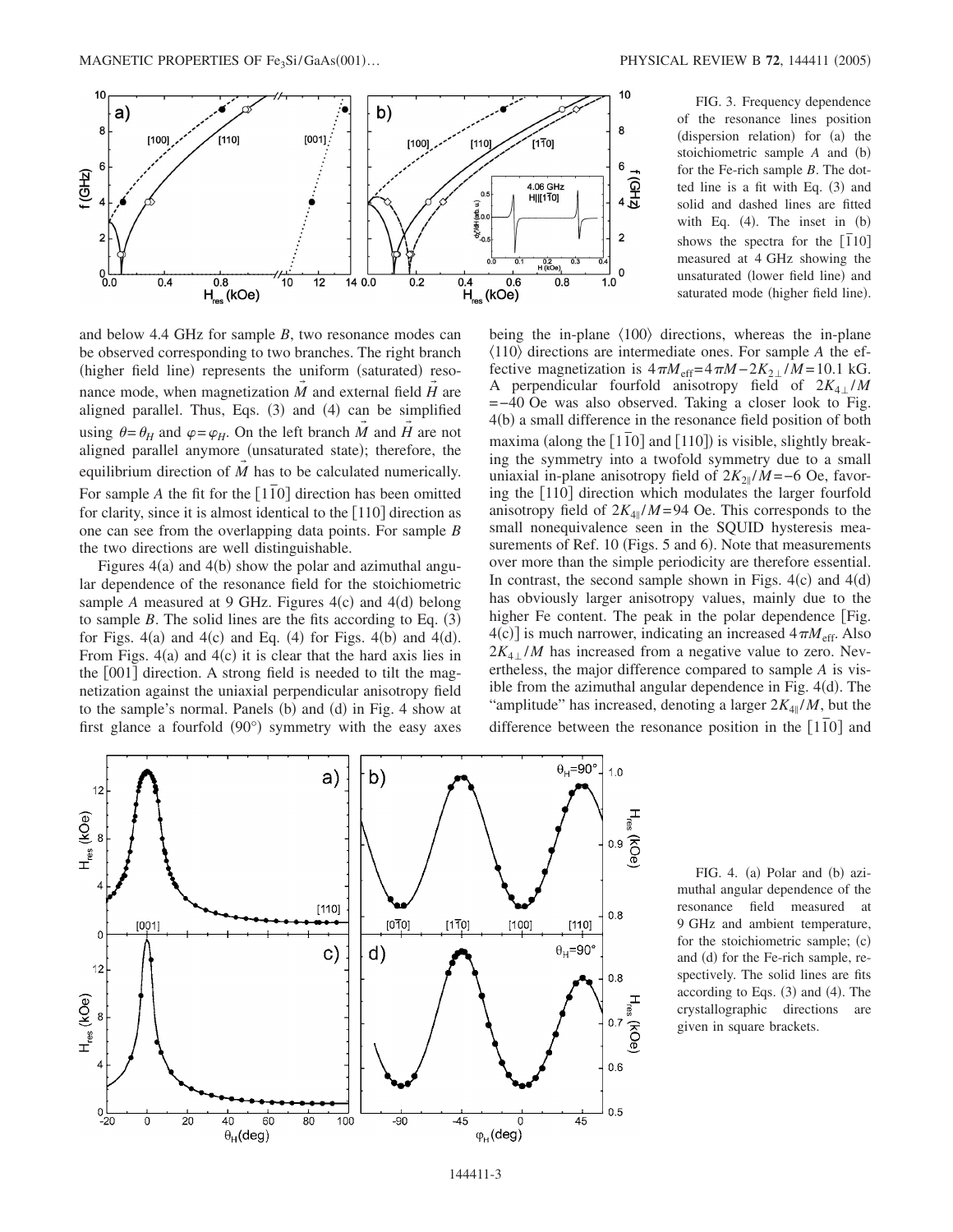

and below 4.4 GHz for sample *B*, two resonance modes can be observed corresponding to two branches. The right branch (higher field line) represents the uniform (saturated) resonance mode, when magnetization *M* and external field *H* are aligned parallel. Thus, Eqs. (3) and (4) can be simplified using  $\theta = \theta_H$  and  $\varphi = \varphi_H$ . On the left branch *M* and *H* are not aligned parallel anymore (unsaturated state); therefore, the equilibrium direction of *M* has to be calculated numerically. For sample *A* the fit for the [110] direction has been omitted for clarity, since it is almost identical to the  $[110]$  direction as one can see from the overlapping data points. For sample *B* the two directions are well distinguishable.

Figures  $4(a)$  and  $4(b)$  show the polar and azimuthal angular dependence of the resonance field for the stoichiometric sample  $A$  measured at  $9$  GHz. Figures  $4(c)$  and  $4(d)$  belong to sample  $B$ . The solid lines are the fits according to Eq.  $(3)$ for Figs.  $4(a)$  and  $4(c)$  and Eq.  $(4)$  for Figs.  $4(b)$  and  $4(d)$ . From Figs.  $4(a)$  and  $4(c)$  it is clear that the hard axis lies in the  $[001]$  direction. A strong field is needed to tilt the magnetization against the uniaxial perpendicular anisotropy field to the sample's normal. Panels (b) and (d) in Fig. 4 show at first glance a fourfold (90°) symmetry with the easy axes

FIG. 3. Frequency dependence of the resonance lines position (dispersion relation) for (a) the stoichiometric sample *A* and (b) for the Fe-rich sample *B*. The dotted line is a fit with Eq. (3) and solid and dashed lines are fitted with Eq.  $(4)$ . The inset in  $(b)$ shows the spectra for the  $[\bar{1}10]$ measured at 4 GHz showing the unsaturated (lower field line) and saturated mode (higher field line).

being the in-plane  $\langle 100 \rangle$  directions, whereas the in-plane  $\langle 110 \rangle$  directions are intermediate ones. For sample *A* the effective magnetization is  $4\pi M_{\text{eff}} = 4\pi M - 2K_{2\perp}/M = 10.1 \text{ kG}.$ A perpendicular fourfold anisotropy field of  $2K_{4\perp}/M$ =−40 Oe was also observed. Taking a closer look to Fig. 4(b) a small difference in the resonance field position of both maxima (along the  $[1\overline{1}0]$  and  $[110]$ ) is visible, slightly breaking the symmetry into a twofold symmetry due to a small uniaxial in-plane anisotropy field of  $2K_{2\parallel}/M = -6$  Oe, favoring the [110] direction which modulates the larger fourfold anisotropy field of  $2K_{4\parallel}/M=94$  Oe. This corresponds to the small nonequivalence seen in the SQUID hysteresis measurements of Ref. 10 (Figs. 5 and 6). Note that measurements over more than the simple periodicity are therefore essential. In contrast, the second sample shown in Figs.  $4(c)$  and  $4(d)$ has obviously larger anisotropy values, mainly due to the higher Fe content. The peak in the polar dependence [Fig.  $4(c)$ ] is much narrower, indicating an increased  $4\pi M_{\text{eff}}$ . Also  $2K_{4+}/M$  has increased from a negative value to zero. Nevertheless, the major difference compared to sample *A* is visible from the azimuthal angular dependence in Fig. 4(d). The "amplitude" has increased, denoting a larger  $2K_{4\parallel}/M$ , but the difference between the resonance position in the  $[1\overline{1}0]$  and



FIG. 4. (a) Polar and (b) azimuthal angular dependence of the resonance field measured at 9 GHz and ambient temperature, for the stoichiometric sample; (c) and (d) for the Fe-rich sample, respectively. The solid lines are fits according to Eqs.  $(3)$  and  $(4)$ . The crystallographic directions are given in square brackets.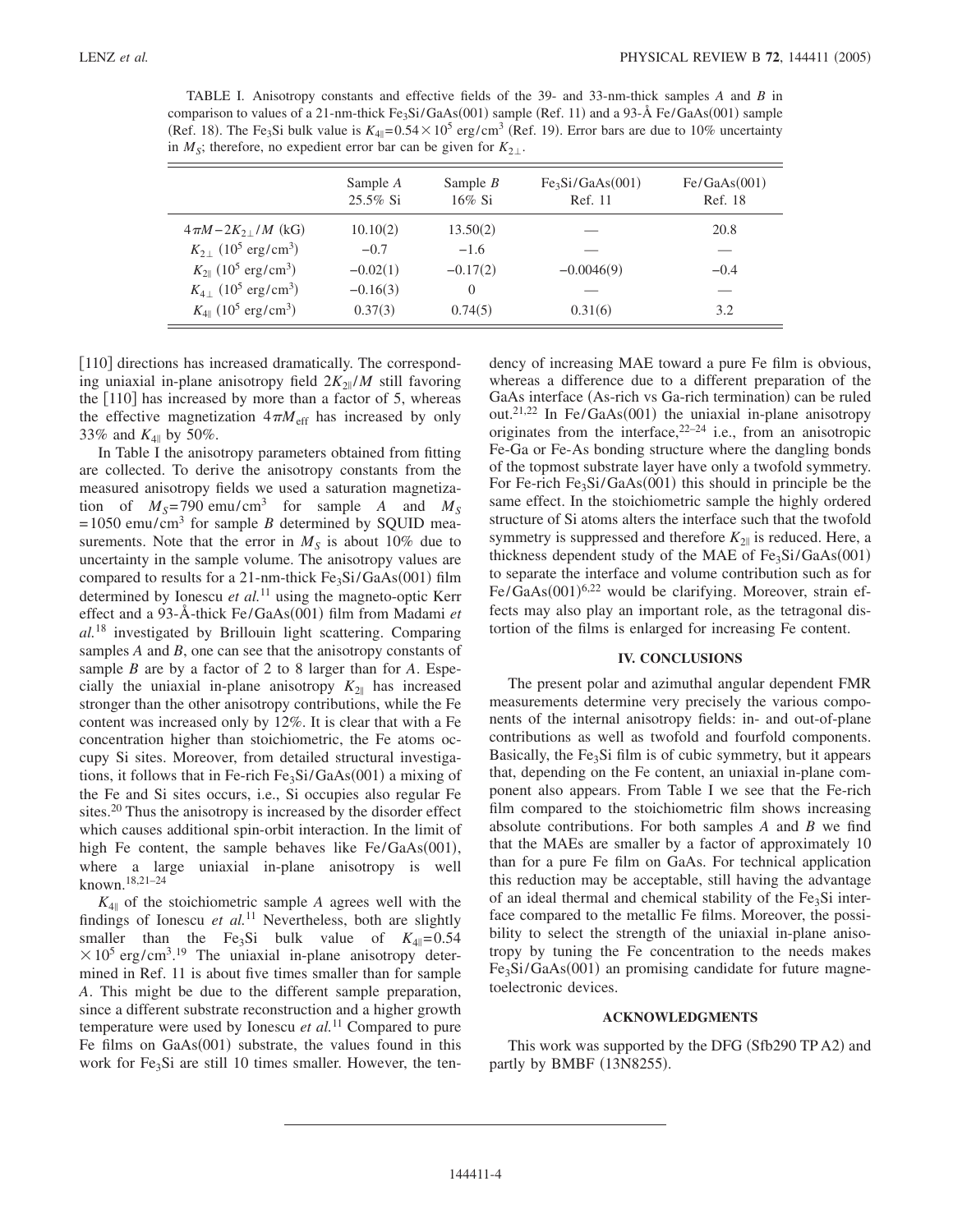TABLE I. Anisotropy constants and effective fields of the 39- and 33-nm-thick samples *A* and *B* in comparison to values of a 21-nm-thick  $Fe<sub>3</sub>Si/GaAs(001)$  sample (Ref. 11) and a 93-Å Fe/GaAs(001) sample (Ref. 18). The Fe<sub>3</sub>Si bulk value is  $K_{4\parallel} = 0.54 \times 10^5$  erg/cm<sup>3</sup> (Ref. 19). Error bars are due to 10% uncertainty in  $M<sub>S</sub>$ ; therefore, no expedient error bar can be given for  $K<sub>2<sub>\perp</sub></sub>$ .

|                                                         | Sample A<br>25.5% Si | Sample $B$<br>$16\%$ Si | Fe <sub>3</sub> Si/GaAs(001)<br>Ref. 11 | Fe/GaAs(001)<br>Ref. 18 |
|---------------------------------------------------------|----------------------|-------------------------|-----------------------------------------|-------------------------|
| $4\pi M - 2K_2$ / M (kG)                                | 10.10(2)             | 13.50(2)                |                                         | 20.8                    |
| $K_{2+}$ (10 <sup>5</sup> erg/cm <sup>3</sup> )         | $-0.7$               | $-1.6$                  |                                         |                         |
| $K_{2\parallel}$ (10 <sup>5</sup> erg/cm <sup>3</sup> ) | $-0.02(1)$           | $-0.17(2)$              | $-0.0046(9)$                            | $-0.4$                  |
| $K_{4+}$ (10 <sup>5</sup> erg/cm <sup>3</sup> )         | $-0.16(3)$           | $\Omega$                |                                         |                         |
| $K_{4\parallel}$ (10 <sup>5</sup> erg/cm <sup>3</sup> ) | 0.37(3)              | 0.74(5)                 | 0.31(6)                                 | 3.2                     |

[110] directions has increased dramatically. The corresponding uniaxial in-plane anisotropy field  $2K_{2\parallel}/M$  still favoring the  $[110]$  has increased by more than a factor of 5, whereas the effective magnetization  $4\pi M_{\text{eff}}$  has increased by only 33% and  $K_{4\parallel}$  by 50%.

In Table I the anisotropy parameters obtained from fitting are collected. To derive the anisotropy constants from the measured anisotropy fields we used a saturation magnetization of  $M_s$ =790 emu/cm<sup>3</sup> for sample *A* and  $M_s$  $=1050$  emu/cm<sup>3</sup> for sample *B* determined by SQUID measurements. Note that the error in  $M<sub>S</sub>$  is about 10% due to uncertainty in the sample volume. The anisotropy values are compared to results for a 21-nm-thick Fe<sub>3</sub>Si/GaAs(001) film determined by Ionescu *et al.*<sup>11</sup> using the magneto-optic Kerr effect and a 93-Å-thick Fe/GaAs(001) film from Madami *et al.*<sup>18</sup> investigated by Brillouin light scattering. Comparing samples *A* and *B*, one can see that the anisotropy constants of sample *B* are by a factor of 2 to 8 larger than for *A*. Especially the uniaxial in-plane anisotropy  $K_{2\parallel}$  has increased stronger than the other anisotropy contributions, while the Fe content was increased only by 12%. It is clear that with a Fe concentration higher than stoichiometric, the Fe atoms occupy Si sites. Moreover, from detailed structural investigations, it follows that in Fe-rich  $Fe<sub>3</sub>Si/GaAs(001)$  a mixing of the Fe and Si sites occurs, i.e., Si occupies also regular Fe sites.<sup>20</sup> Thus the anisotropy is increased by the disorder effect which causes additional spin-orbit interaction. In the limit of high Fe content, the sample behaves like Fe/GaAs(001), where a large uniaxial in-plane anisotropy is well known.18,21–24

 $K_{4\parallel}$  of the stoichiometric sample *A* agrees well with the findings of Ionescu et al.<sup>11</sup> Nevertheless, both are slightly smaller than the Fe<sub>3</sub>Si bulk value of  $K_{4\parallel}=0.54$  $\times$  10<sup>5</sup> erg/cm<sup>3</sup>.<sup>19</sup> The uniaxial in-plane anisotropy determined in Ref. 11 is about five times smaller than for sample *A*. This might be due to the different sample preparation, since a different substrate reconstruction and a higher growth temperature were used by Ionescu *et al.*<sup>11</sup> Compared to pure Fe films on GaAs(001) substrate, the values found in this work for  $Fe<sub>3</sub>Si$  are still 10 times smaller. However, the tendency of increasing MAE toward a pure Fe film is obvious, whereas a difference due to a different preparation of the GaAs interface (As-rich vs Ga-rich termination) can be ruled out.<sup>21,22</sup> In Fe/GaAs(001) the uniaxial in-plane anisotropy originates from the interface,  $2^{2-24}$  i.e., from an anisotropic Fe-Ga or Fe-As bonding structure where the dangling bonds of the topmost substrate layer have only a twofold symmetry. For Fe-rich  $Fe<sub>3</sub>Si/GaAs(001)$  this should in principle be the same effect. In the stoichiometric sample the highly ordered structure of Si atoms alters the interface such that the twofold symmetry is suppressed and therefore  $K_{2\parallel}$  is reduced. Here, a thickness dependent study of the MAE of  $Fe<sub>3</sub>Si/GaAs(001)$ to separate the interface and volume contribution such as for Fe/GaAs(001)<sup>6,22</sup> would be clarifying. Moreover, strain effects may also play an important role, as the tetragonal distortion of the films is enlarged for increasing Fe content.

## **IV. CONCLUSIONS**

The present polar and azimuthal angular dependent FMR measurements determine very precisely the various components of the internal anisotropy fields: in- and out-of-plane contributions as well as twofold and fourfold components. Basically, the  $Fe<sub>3</sub>Si$  film is of cubic symmetry, but it appears that, depending on the Fe content, an uniaxial in-plane component also appears. From Table I we see that the Fe-rich film compared to the stoichiometric film shows increasing absolute contributions. For both samples *A* and *B* we find that the MAEs are smaller by a factor of approximately 10 than for a pure Fe film on GaAs. For technical application this reduction may be acceptable, still having the advantage of an ideal thermal and chemical stability of the  $Fe<sub>3</sub>Si$  interface compared to the metallic Fe films. Moreover, the possibility to select the strength of the uniaxial in-plane anisotropy by tuning the Fe concentration to the needs makes Fe<sub>3</sub>Si/GaAs(001) an promising candidate for future magnetoelectronic devices.

#### **ACKNOWLEDGMENTS**

This work was supported by the DFG (Sfb290 TP A2) and partly by BMBF (13N8255).